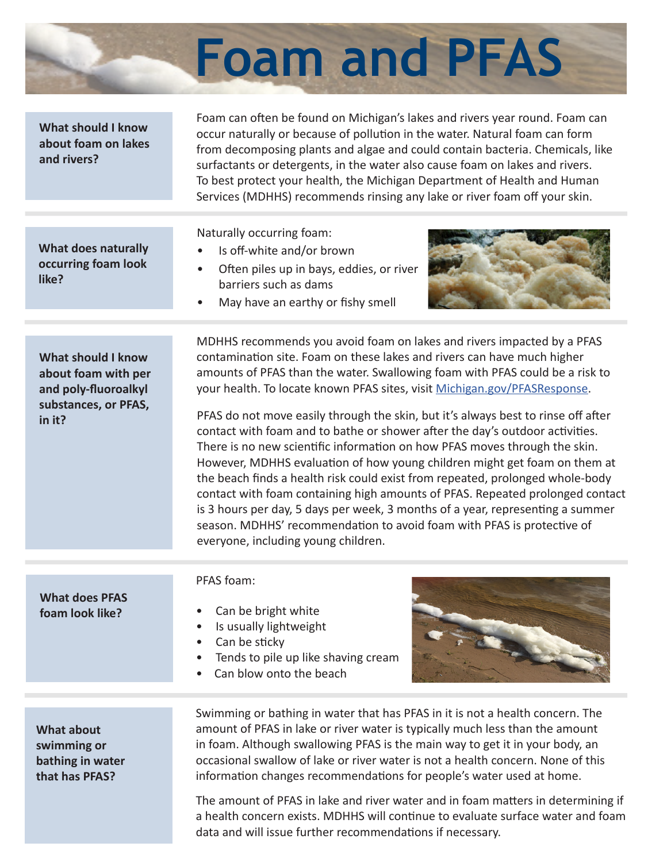

## Foam can often be found on Michigan's lakes and rivers year round. Foam can occur naturally or because of pollution in the water. Natural foam can form from decomposing plants and algae and could contain bacteria. Chemicals, like surfactants or detergents, in the water also cause foam on lakes and rivers. To best protect your health, the Michigan Department of Health and Human Services (MDHHS) recommends rinsing any lake or river foam off your skin. **What should I know about foam on lakes and rivers? What does naturally occurring foam look like?** Naturally occurring foam: Is off-white and/or brown • Often piles up in bays, eddies, or river barriers such as dams • May have an earthy or fishy smell MDHHS recommends you avoid foam on lakes and rivers impacted by a PFAS contamination site. Foam on these lakes and rivers can have much higher amounts of PFAS than the water. Swallowing foam with PFAS could be a risk to your health. To locate known PFAS sites, visit Michigan.gov/PFASResponse. **What should I know about foam with per and poly-fluoroalkyl substances, or PFAS, in it?** PFAS foam: • Can be bright white • Is usually lightweight • Can be sticky • Tends to pile up like shaving cream Can blow onto the beach **What does PFAS foam look like?** PFAS do not move easily through the skin, but it's always best to rinse off after contact with foam and to bathe or shower after the day's outdoor activities. There is no new scientific information on how PFAS moves through the skin. However, MDHHS evaluation of how young children might get foam on them at the beach finds a health risk could exist from repeated, prolonged whole-body contact with foam containing high amounts of PFAS. Repeated prolonged contact is 3 hours per day, 5 days per week, 3 months of a year, representing a summer season. MDHHS' recommendation to avoid foam with PFAS is protective of everyone, including young children.

**What about swimming or bathing in water that has PFAS?**

Swimming or bathing in water that has PFAS in it is not a health concern. The amount of PFAS in lake or river water is typically much less than the amount in foam. Although swallowing PFAS is the main way to get it in your body, an occasional swallow of lake or river water is not a health concern. None of this information changes recommendations for people's water used at home.

The amount of PFAS in lake and river water and in foam matters in determining if a health concern exists. MDHHS will continue to evaluate surface water and foam data and will issue further recommendations if necessary.